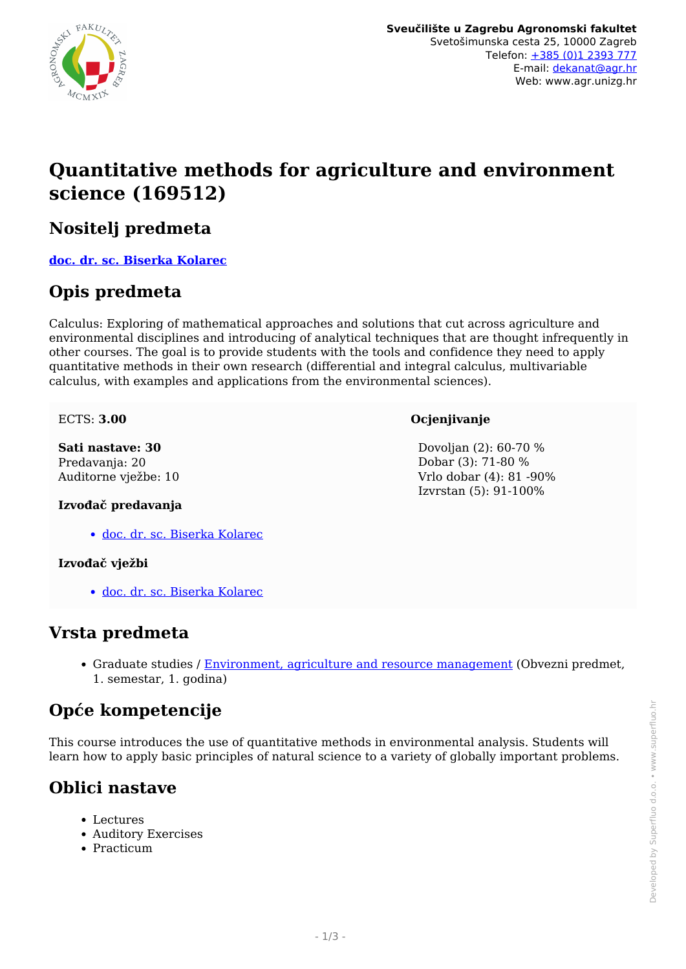

# **Quantitative methods for agriculture and environment science (169512)**

## **Nositelj predmeta**

**[doc. dr. sc. Biserka Kolarec](/hr/member/111)**

## **Opis predmeta**

Calculus: Exploring of mathematical approaches and solutions that cut across agriculture and environmental disciplines and introducing of analytical techniques that are thought infrequently in other courses. The goal is to provide students with the tools and confidence they need to apply quantitative methods in their own research (differential and integral calculus, multivariable calculus, with examples and applications from the environmental sciences).

ECTS: **3.00**

#### **Sati nastave: 30** Predavanja: 20 Auditorne vježbe: 10

#### **Ocjenjivanje**

 Dovoljan (2): 60-70 % Dobar (3): 71-80 % Vrlo dobar (4): 81 -90% Izvrstan (5): 91-100%

#### **Izvođač predavanja**

[doc. dr. sc. Biserka Kolarec](/hr/member/111)

#### **Izvođač vježbi**

[doc. dr. sc. Biserka Kolarec](/hr/member/111)

### **Vrsta predmeta**

• Graduate studies / [Environment, agriculture and resource management](/hr/study/en/3/Environment%2C+agriculture+and+resource+management) (Obvezni predmet, 1. semestar, 1. godina)

# **Opće kompetencije**

This course introduces the use of quantitative methods in environmental analysis. Students will learn how to apply basic principles of natural science to a variety of globally important problems.

## **Oblici nastave**

- Lectures
- Auditory Exercises
- Practicum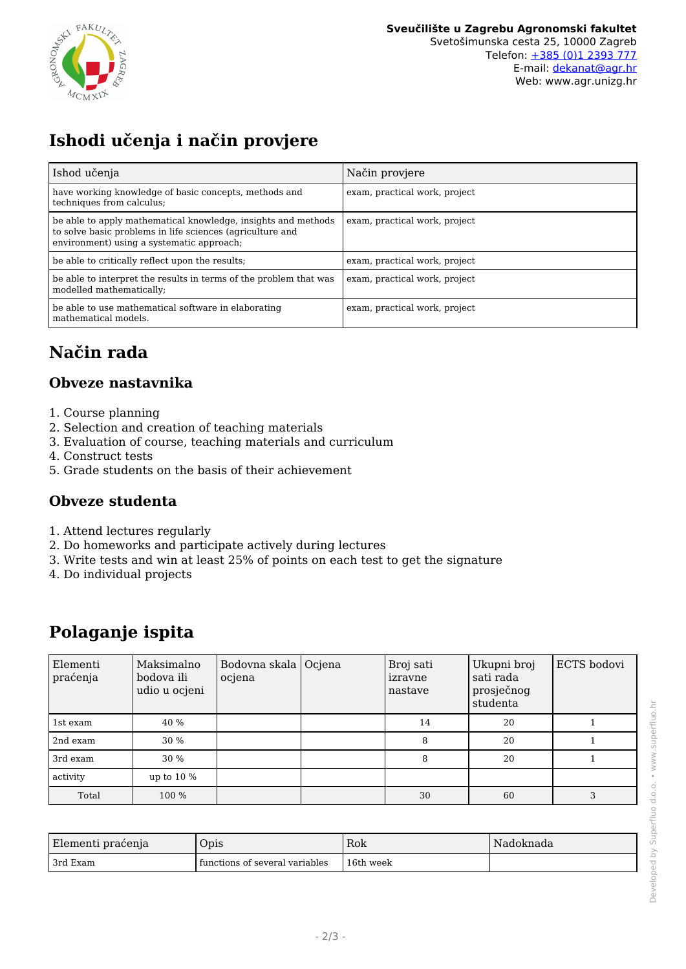

# **Ishodi učenja i način provjere**

| Ishod učenja                                                                                                                                                            | Način provjere                |
|-------------------------------------------------------------------------------------------------------------------------------------------------------------------------|-------------------------------|
| have working knowledge of basic concepts, methods and<br>techniques from calculus;                                                                                      | exam, practical work, project |
| be able to apply mathematical knowledge, insights and methods<br>to solve basic problems in life sciences (agriculture and<br>environment) using a systematic approach; | exam, practical work, project |
| be able to critically reflect upon the results:                                                                                                                         | exam, practical work, project |
| be able to interpret the results in terms of the problem that was<br>modelled mathematically;                                                                           | exam, practical work, project |
| be able to use mathematical software in elaborating<br>mathematical models.                                                                                             | exam, practical work, project |

# **Način rada**

#### **Obveze nastavnika**

- 1. Course planning
- 2. Selection and creation of teaching materials
- 3. Evaluation of course, teaching materials and curriculum
- 4. Construct tests
- 5. Grade students on the basis of their achievement

#### **Obveze studenta**

- 1. Attend lectures regularly
- 2. Do homeworks and participate actively during lectures
- 3. Write tests and win at least 25% of points on each test to get the signature
- 4. Do individual projects

## **Polaganje ispita**

| Elementi<br>praćenja | Maksimalno<br>bodova ili<br>udio u ocjeni | Bodovna skala Ocjena<br>ocjena | Broj sati<br>izravne<br>nastave | Ukupni broj<br>sati rada<br>prosječnog<br>studenta | ECTS bodovi |
|----------------------|-------------------------------------------|--------------------------------|---------------------------------|----------------------------------------------------|-------------|
| 1st exam             | 40 %                                      |                                | 14                              | 20                                                 |             |
| 2nd exam             | 30 %                                      |                                | 8                               | 20                                                 |             |
| 3rd exam             | 30 %                                      |                                | 8                               | 20                                                 |             |
| activity             | up to $10\%$                              |                                |                                 |                                                    |             |
| Total                | 100 %                                     |                                | 30                              | 60                                                 | 3           |

| Elementi praćenja | Opis                             | Rok       | Nadoknada |
|-------------------|----------------------------------|-----------|-----------|
| 3rd Exam          | I functions of several variables | 16th week |           |